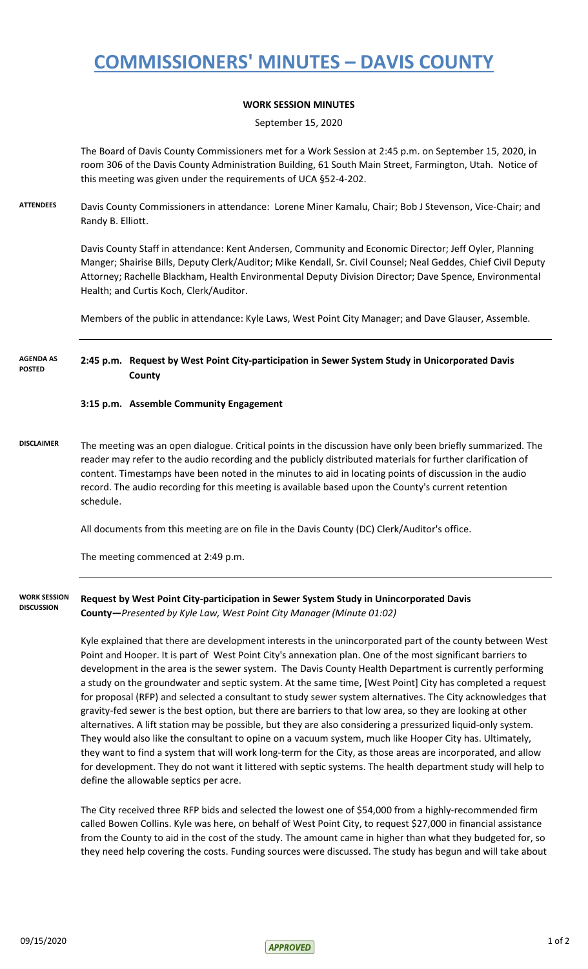# **COMMISSIONERS' MINUTES – DAVIS COUNTY**

### **WORK SESSION MINUTES**

September 15, 2020

The Board of Davis County Commissioners met for a Work Session at 2:45 p.m. on September 15, 2020, in room 306 of the Davis County Administration Building, 61 South Main Street, Farmington, Utah. Notice of this meeting was given under the requirements of UCA §52-4-202.

**ATTENDEES** Davis County Commissioners in attendance: Lorene Miner Kamalu, Chair; Bob J Stevenson, Vice-Chair; and Randy B. Elliott.

> Davis County Staff in attendance: Kent Andersen, Community and Economic Director; Jeff Oyler, Planning Manger; Shairise Bills, Deputy Clerk/Auditor; Mike Kendall, Sr. Civil Counsel; Neal Geddes, Chief Civil Deputy Attorney; Rachelle Blackham, Health Environmental Deputy Division Director; Dave Spence, Environmental Health; and Curtis Koch, Clerk/Auditor.

Members of the public in attendance: Kyle Laws, West Point City Manager; and Dave Glauser, Assemble.

**2:45 p.m. Request by West Point City-participation in Sewer System Study in Unicorporated Davis County AGENDA AS POSTED**

#### **3:15 p.m. Assemble Community Engagement**

**DISCLAIMER** The meeting was an open dialogue. Critical points in the discussion have only been briefly summarized. The reader may refer to the audio recording and the publicly distributed materials for further clarification of content. Timestamps have been noted in the minutes to aid in locating points of discussion in the audio record. The audio recording for this meeting is available based upon the County's current retention schedule.

All documents from this meeting are on file in the Davis County (DC) Clerk/Auditor's office.

The meeting commenced at 2:49 p.m.

**Request by West Point City-participation in Sewer System Study in Unincorporated Davis County—***Presented by Kyle Law, West Point City Manager (Minute 01:02)* **WORK SESSION DISCUSSION**

> Kyle explained that there are development interests in the unincorporated part of the county between West Point and Hooper. It is part of West Point City's annexation plan. One of the most significant barriers to development in the area is the sewer system. The Davis County Health Department is currently performing a study on the groundwater and septic system. At the same time, [West Point] City has completed a request for proposal (RFP) and selected a consultant to study sewer system alternatives. The City acknowledges that gravity-fed sewer is the best option, but there are barriers to that low area, so they are looking at other alternatives. A lift station may be possible, but they are also considering a pressurized liquid-only system. They would also like the consultant to opine on a vacuum system, much like Hooper City has. Ultimately, they want to find a system that will work long-term for the City, as those areas are incorporated, and allow for development. They do not want it littered with septic systems. The health department study will help to define the allowable septics per acre.

> The City received three RFP bids and selected the lowest one of \$54,000 from a highly-recommended firm called Bowen Collins. Kyle was here, on behalf of West Point City, to request \$27,000 in financial assistance from the County to aid in the cost of the study. The amount came in higher than what they budgeted for, so they need help covering the costs. Funding sources were discussed. The study has begun and will take about